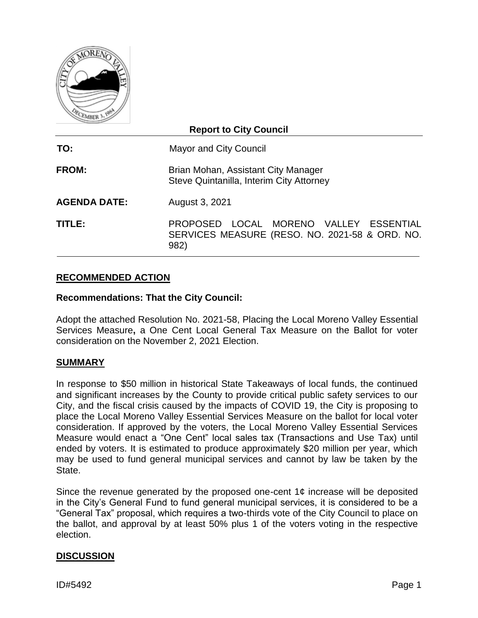

| <b>Report to City Council</b> |                                                                                                  |  |  |  |
|-------------------------------|--------------------------------------------------------------------------------------------------|--|--|--|
| TO:                           | <b>Mayor and City Council</b>                                                                    |  |  |  |
| <b>FROM:</b>                  | Brian Mohan, Assistant City Manager<br>Steve Quintanilla, Interim City Attorney                  |  |  |  |
| <b>AGENDA DATE:</b>           | August 3, 2021                                                                                   |  |  |  |
| TITLE:                        | PROPOSED LOCAL MORENO VALLEY ESSENTIAL<br>SERVICES MEASURE (RESO. NO. 2021-58 & ORD. NO.<br>982) |  |  |  |

## **RECOMMENDED ACTION**

#### **Recommendations: That the City Council:**

Adopt the attached Resolution No. 2021-58, Placing the Local Moreno Valley Essential Services Measure**,** a One Cent Local General Tax Measure on the Ballot for voter consideration on the November 2, 2021 Election.

#### **SUMMARY**

In response to \$50 million in historical State Takeaways of local funds, the continued and significant increases by the County to provide critical public safety services to our City, and the fiscal crisis caused by the impacts of COVID 19, the City is proposing to place the Local Moreno Valley Essential Services Measure on the ballot for local voter consideration. If approved by the voters, the Local Moreno Valley Essential Services Measure would enact a "One Cent" local sales tax (Transactions and Use Tax) until ended by voters. It is estimated to produce approximately \$20 million per year, which may be used to fund general municipal services and cannot by law be taken by the State.

Since the revenue generated by the proposed one-cent  $1¢$  increase will be deposited in the City's General Fund to fund general municipal services, it is considered to be a "General Tax" proposal, which requires a two-thirds vote of the City Council to place on the ballot, and approval by at least 50% plus 1 of the voters voting in the respective election.

#### **DISCUSSION**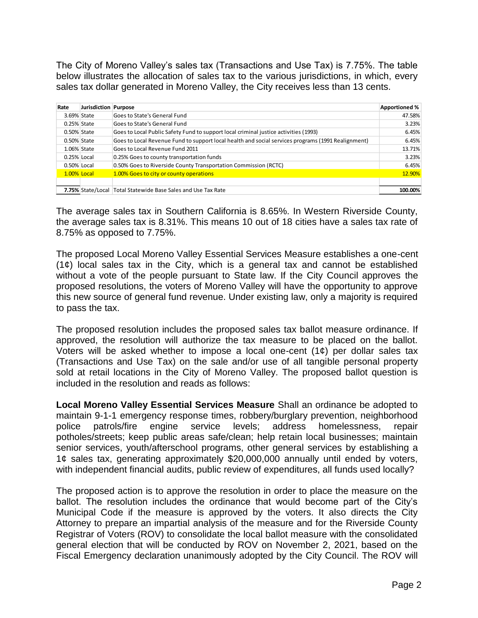The City of Moreno Valley's sales tax (Transactions and Use Tax) is 7.75%. The table below illustrates the allocation of sales tax to the various jurisdictions, in which, every sales tax dollar generated in Moreno Valley, the City receives less than 13 cents.

| Rate        | Jurisdiction Purpose |                                                                                                    | Apportioned % |
|-------------|----------------------|----------------------------------------------------------------------------------------------------|---------------|
| 3.69% State |                      | Goes to State's General Fund                                                                       | 47.58%        |
| 0.25% State |                      | Goes to State's General Fund                                                                       |               |
| 0.50% State |                      | Goes to Local Public Safety Fund to support local criminal justice activities (1993)               | 6.45%         |
| 0.50% State |                      | Goes to Local Revenue Fund to support local health and social services programs (1991 Realignment) | 6.45%         |
|             | 1.06% State          | Goes to Local Revenue Fund 2011                                                                    | 13.71%        |
| 0.25% Local |                      | 0.25% Goes to county transportation funds                                                          | 3.23%         |
| 0.50% Local |                      | 0.50% Goes to Riverside County Transportation Commission (RCTC)                                    | 6.45%         |
| 1.00% Local |                      | 1.00% Goes to city or county operations                                                            | 12.90%        |
|             |                      |                                                                                                    |               |
|             | 7.75% State/Local    | Total Statewide Base Sales and Use Tax Rate                                                        | 100.00%       |

The average sales tax in Southern California is 8.65%. In Western Riverside County, the average sales tax is 8.31%. This means 10 out of 18 cities have a sales tax rate of 8.75% as opposed to 7.75%.

The proposed Local Moreno Valley Essential Services Measure establishes a one-cent  $(1¢)$  local sales tax in the City, which is a general tax and cannot be established without a vote of the people pursuant to State law. If the City Council approves the proposed resolutions, the voters of Moreno Valley will have the opportunity to approve this new source of general fund revenue. Under existing law, only a majority is required to pass the tax.

The proposed resolution includes the proposed sales tax ballot measure ordinance. If approved, the resolution will authorize the tax measure to be placed on the ballot. Voters will be asked whether to impose a local one-cent  $(1¢)$  per dollar sales tax (Transactions and Use Tax) on the sale and/or use of all tangible personal property sold at retail locations in the City of Moreno Valley. The proposed ballot question is included in the resolution and reads as follows:

**Local Moreno Valley Essential Services Measure** Shall an ordinance be adopted to maintain 9-1-1 emergency response times, robbery/burglary prevention, neighborhood police patrols/fire engine service levels; address homelessness, repair potholes/streets; keep public areas safe/clean; help retain local businesses; maintain senior services, youth/afterschool programs, other general services by establishing a 1¢ sales tax, generating approximately \$20,000,000 annually until ended by voters, with independent financial audits, public review of expenditures, all funds used locally?

The proposed action is to approve the resolution in order to place the measure on the ballot. The resolution includes the ordinance that would become part of the City's Municipal Code if the measure is approved by the voters. It also directs the City Attorney to prepare an impartial analysis of the measure and for the Riverside County Registrar of Voters (ROV) to consolidate the local ballot measure with the consolidated general election that will be conducted by ROV on November 2, 2021, based on the Fiscal Emergency declaration unanimously adopted by the City Council. The ROV will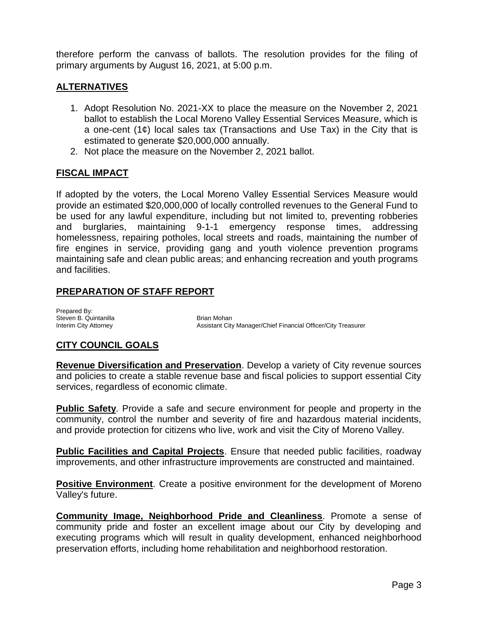therefore perform the canvass of ballots. The resolution provides for the filing of primary arguments by August 16, 2021, at 5:00 p.m.

## **ALTERNATIVES**

- 1. Adopt Resolution No. 2021-XX to place the measure on the November 2, 2021 ballot to establish the Local Moreno Valley Essential Services Measure, which is a one-cent (1¢) local sales tax (Transactions and Use Tax) in the City that is estimated to generate \$20,000,000 annually.
- 2. Not place the measure on the November 2, 2021 ballot.

## **FISCAL IMPACT**

If adopted by the voters, the Local Moreno Valley Essential Services Measure would provide an estimated \$20,000,000 of locally controlled revenues to the General Fund to be used for any lawful expenditure, including but not limited to, preventing robberies and burglaries, maintaining 9-1-1 emergency response times, addressing homelessness, repairing potholes, local streets and roads, maintaining the number of fire engines in service, providing gang and youth violence prevention programs maintaining safe and clean public areas; and enhancing recreation and youth programs and facilities.

## **PREPARATION OF STAFF REPORT**

Prepared By: Steven B. Quintanilla Brian Mohan

Assistant City Manager/Chief Financial Officer/City Treasurer

#### **CITY COUNCIL GOALS**

**Revenue Diversification and Preservation**. Develop a variety of City revenue sources and policies to create a stable revenue base and fiscal policies to support essential City services, regardless of economic climate.

**Public Safety**. Provide a safe and secure environment for people and property in the community, control the number and severity of fire and hazardous material incidents, and provide protection for citizens who live, work and visit the City of Moreno Valley.

**Public Facilities and Capital Projects**. Ensure that needed public facilities, roadway improvements, and other infrastructure improvements are constructed and maintained.

**Positive Environment**. Create a positive environment for the development of Moreno Valley's future.

**Community Image, Neighborhood Pride and Cleanliness**. Promote a sense of community pride and foster an excellent image about our City by developing and executing programs which will result in quality development, enhanced neighborhood preservation efforts, including home rehabilitation and neighborhood restoration.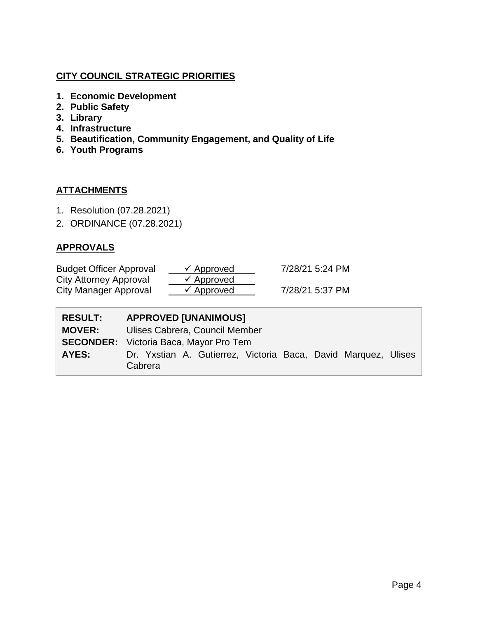## **CITY COUNCIL STRATEGIC PRIORITIES**

- **1. Economic Development**
- **2. Public Safety**
- **3. Library**
- **4. Infrastructure**
- **5. Beautification, Community Engagement, and Quality of Life**
- **6. Youth Programs**

## **ATTACHMENTS**

- 1. Resolution (07.28.2021)
- 2. ORDINANCE (07.28.2021)

## **APPROVALS**

| <b>Budget Officer Approval</b> | $\checkmark$ Approved | 7/28/21 5:24 PM |
|--------------------------------|-----------------------|-----------------|
| City Attorney Approval         | $\checkmark$ Approved |                 |
| City Manager Approval          | $\checkmark$ Approved | 7/28/21 5:37 PM |

| <b>RESULT:</b> | <b>APPROVED [UNANIMOUS]</b>                                               |  |  |
|----------------|---------------------------------------------------------------------------|--|--|
| <b>MOVER:</b>  | Ulises Cabrera, Council Member                                            |  |  |
|                | <b>SECONDER:</b> Victoria Baca, Mayor Pro Tem                             |  |  |
| AYES:          | Dr. Yxstian A. Gutierrez, Victoria Baca, David Marquez, Ulises<br>Cabrera |  |  |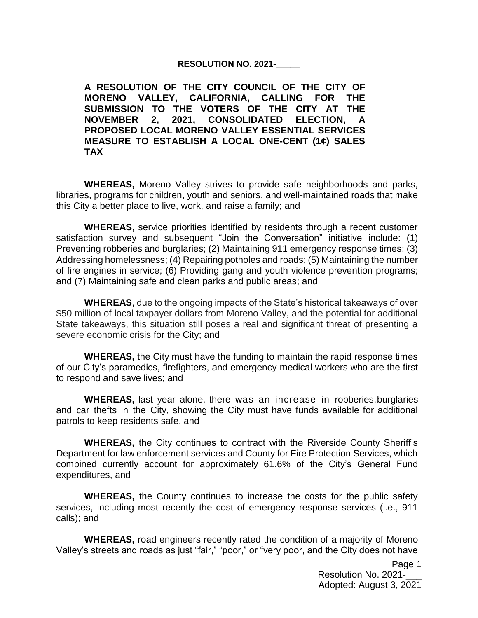#### **RESOLUTION NO. 2021-\_\_\_\_\_**

**A RESOLUTION OF THE CITY COUNCIL OF THE CITY OF MORENO VALLEY, CALIFORNIA, CALLING FOR THE SUBMISSION TO THE VOTERS OF THE CITY AT THE NOVEMBER 2, 2021, CONSOLIDATED ELECTION, PROPOSED LOCAL MORENO VALLEY ESSENTIAL SERVICES MEASURE TO ESTABLISH A LOCAL ONE-CENT (1¢) SALES TAX**

**WHEREAS,** Moreno Valley strives to provide safe neighborhoods and parks, libraries, programs for children, youth and seniors, and well-maintained roads that make this City a better place to live, work, and raise a family; and

**WHEREAS**, service priorities identified by residents through a recent customer satisfaction survey and subsequent "Join the Conversation" initiative include: (1) Preventing robberies and burglaries; (2) Maintaining 911 emergency response times; (3) Addressing homelessness; (4) Repairing potholes and roads; (5) Maintaining the number of fire engines in service; (6) Providing gang and youth violence prevention programs; and (7) Maintaining safe and clean parks and public areas; and

**WHEREAS**, due to the ongoing impacts of the State's historical takeaways of over \$50 million of local taxpayer dollars from Moreno Valley, and the potential for additional State takeaways, this situation still poses a real and significant threat of presenting a severe economic crisis for the City; and

**WHEREAS,** the City must have the funding to maintain the rapid response times of our City's paramedics, firefighters, and emergency medical workers who are the first to respond and save lives; and

**WHEREAS,** last year alone, there was an increase in robberies,burglaries and car thefts in the City, showing the City must have funds available for additional patrols to keep residents safe, and

**WHEREAS,** the City continues to contract with the Riverside County Sheriff's Department for law enforcement services and County for Fire Protection Services, which combined currently account for approximately 61.6% of the City's General Fund expenditures, and

**WHEREAS,** the County continues to increase the costs for the public safety services, including most recently the cost of emergency response services (i.e., 911 calls); and

**WHEREAS,** road engineers recently rated the condition of a majority of Moreno Valley's streets and roads as just "fair," "poor," or "very poor, and the City does not have

> Page 1 Resolution No. 2021-Adopted: August 3, 2021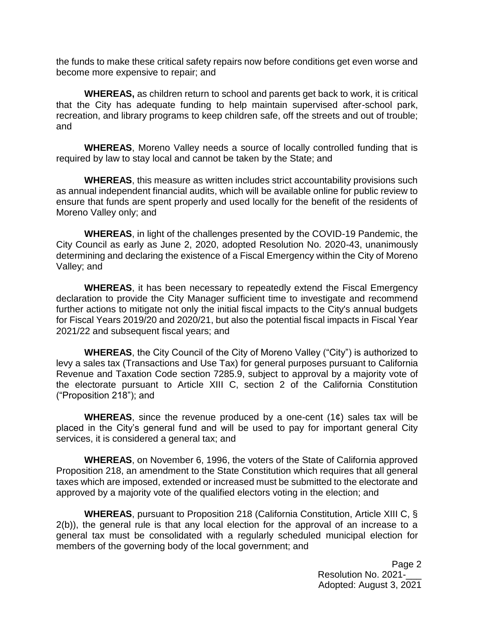the funds to make these critical safety repairs now before conditions get even worse and become more expensive to repair; and

**WHEREAS,** as children return to school and parents get back to work, it is critical that the City has adequate funding to help maintain supervised after-school park, recreation, and library programs to keep children safe, off the streets and out of trouble; and

**WHEREAS**, Moreno Valley needs a source of locally controlled funding that is required by law to stay local and cannot be taken by the State; and

**WHEREAS**, this measure as written includes strict accountability provisions such as annual independent financial audits, which will be available online for public review to ensure that funds are spent properly and used locally for the benefit of the residents of Moreno Valley only; and

**WHEREAS**, in light of the challenges presented by the COVID-19 Pandemic, the City Council as early as June 2, 2020, adopted Resolution No. 2020-43, unanimously determining and declaring the existence of a Fiscal Emergency within the City of Moreno Valley; and

**WHEREAS**, it has been necessary to repeatedly extend the Fiscal Emergency declaration to provide the City Manager sufficient time to investigate and recommend further actions to mitigate not only the initial fiscal impacts to the City's annual budgets for Fiscal Years 2019/20 and 2020/21, but also the potential fiscal impacts in Fiscal Year 2021/22 and subsequent fiscal years; and

**WHEREAS**, the City Council of the City of Moreno Valley ("City") is authorized to levy a sales tax (Transactions and Use Tax) for general purposes pursuant to California Revenue and Taxation Code section 7285.9, subject to approval by a majority vote of the electorate pursuant to Article XIII C, section 2 of the California Constitution ("Proposition 218"); and

**WHEREAS**, since the revenue produced by a one-cent (1¢) sales tax will be placed in the City's general fund and will be used to pay for important general City services, it is considered a general tax; and

**WHEREAS**, on November 6, 1996, the voters of the State of California approved Proposition 218, an amendment to the State Constitution which requires that all general taxes which are imposed, extended or increased must be submitted to the electorate and approved by a majority vote of the qualified electors voting in the election; and

**WHEREAS**, pursuant to Proposition 218 (California Constitution, Article XIII C, § 2(b)), the general rule is that any local election for the approval of an increase to a general tax must be consolidated with a regularly scheduled municipal election for members of the governing body of the local government; and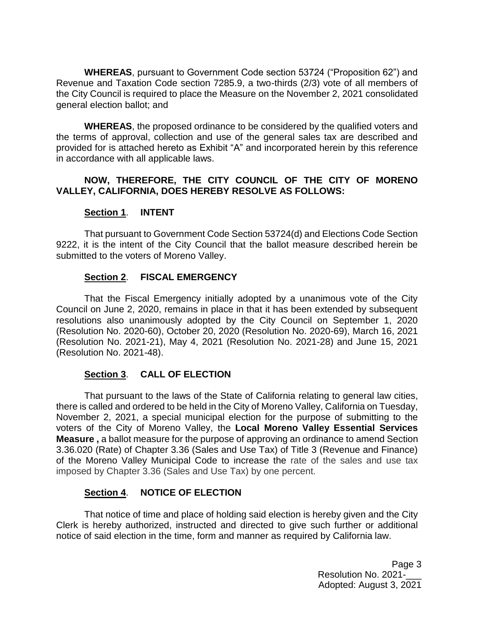**WHEREAS**, pursuant to Government Code section 53724 ("Proposition 62") and Revenue and Taxation Code section 7285.9, a two-thirds (2/3) vote of all members of the City Council is required to place the Measure on the November 2, 2021 consolidated general election ballot; and

**WHEREAS**, the proposed ordinance to be considered by the qualified voters and the terms of approval, collection and use of the general sales tax are described and provided for is attached hereto as Exhibit "A" and incorporated herein by this reference in accordance with all applicable laws.

## **NOW, THEREFORE, THE CITY COUNCIL OF THE CITY OF MORENO VALLEY, CALIFORNIA, DOES HEREBY RESOLVE AS FOLLOWS:**

## **Section 1**. **INTENT**

That pursuant to Government Code Section 53724(d) and Elections Code Section 9222, it is the intent of the City Council that the ballot measure described herein be submitted to the voters of Moreno Valley.

## **Section 2**. **FISCAL EMERGENCY**

That the Fiscal Emergency initially adopted by a unanimous vote of the City Council on June 2, 2020, remains in place in that it has been extended by subsequent resolutions also unanimously adopted by the City Council on September 1, 2020 (Resolution No. 2020-60), October 20, 2020 (Resolution No. 2020-69), March 16, 2021 (Resolution No. 2021-21), May 4, 2021 (Resolution No. 2021-28) and June 15, 2021 (Resolution No. 2021-48).

### **Section 3**. **CALL OF ELECTION**

That pursuant to the laws of the State of California relating to general law cities, there is called and ordered to be held in the City of Moreno Valley, California on Tuesday, November 2, 2021, a special municipal election for the purpose of submitting to the voters of the City of Moreno Valley, the **Local Moreno Valley Essential Services Measure**, a ballot measure for the purpose of approving an ordinance to amend Section 3.36.020 (Rate) of Chapter 3.36 (Sales and Use Tax) of Title 3 (Revenue and Finance) of the Moreno Valley Municipal Code to increase the rate of the sales and use tax imposed by Chapter 3.36 (Sales and Use Tax) by one percent.

## **Section 4**. **NOTICE OF ELECTION**

That notice of time and place of holding said election is hereby given and the City Clerk is hereby authorized, instructed and directed to give such further or additional notice of said election in the time, form and manner as required by California law.

> Page 3 Resolution No. 2021-Adopted: August 3, 2021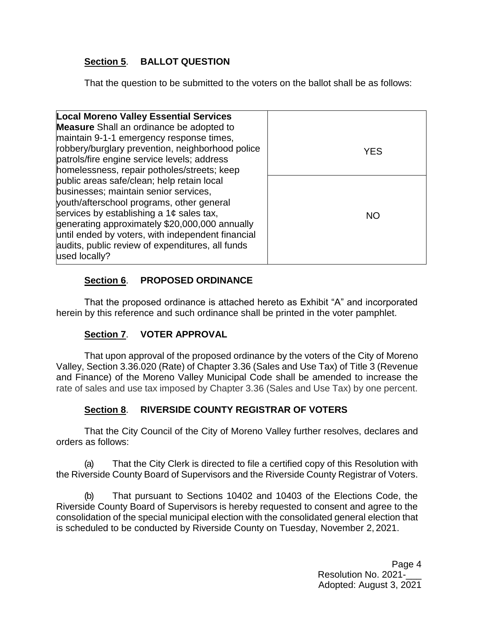# **Section 5**. **BALLOT QUESTION**

That the question to be submitted to the voters on the ballot shall be as follows:

| <b>Local Moreno Valley Essential Services</b>     |            |
|---------------------------------------------------|------------|
| <b>Measure</b> Shall an ordinance be adopted to   |            |
| maintain 9-1-1 emergency response times,          |            |
| robbery/burglary prevention, neighborhood police  | <b>YES</b> |
| patrols/fire engine service levels; address       |            |
| homelessness, repair potholes/streets; keep       |            |
| public areas safe/clean; help retain local        |            |
| businesses; maintain senior services,             |            |
| youth/afterschool programs, other general         |            |
| services by establishing a $1¢$ sales tax,        | <b>NO</b>  |
| generating approximately \$20,000,000 annually    |            |
| until ended by voters, with independent financial |            |
| audits, public review of expenditures, all funds  |            |
| used locally?                                     |            |
|                                                   |            |

# **Section 6**. **PROPOSED ORDINANCE**

That the proposed ordinance is attached hereto as Exhibit "A" and incorporated herein by this reference and such ordinance shall be printed in the voter pamphlet.

# **Section 7**. **VOTER APPROVAL**

That upon approval of the proposed ordinance by the voters of the City of Moreno Valley, Section 3.36.020 (Rate) of Chapter 3.36 (Sales and Use Tax) of Title 3 (Revenue and Finance) of the Moreno Valley Municipal Code shall be amended to increase the rate of sales and use tax imposed by Chapter 3.36 (Sales and Use Tax) by one percent.

# **Section 8**. **RIVERSIDE COUNTY REGISTRAR OF VOTERS**

That the City Council of the City of Moreno Valley further resolves, declares and orders as follows:

(a) That the City Clerk is directed to file a certified copy of this Resolution with the Riverside County Board of Supervisors and the Riverside County Registrar of Voters.

(b) That pursuant to Sections 10402 and 10403 of the Elections Code, the Riverside County Board of Supervisors is hereby requested to consent and agree to the consolidation of the special municipal election with the consolidated general election that is scheduled to be conducted by Riverside County on Tuesday, November 2, 2021.

> Page 4 Resolution No. 2021-Adopted: August 3, 2021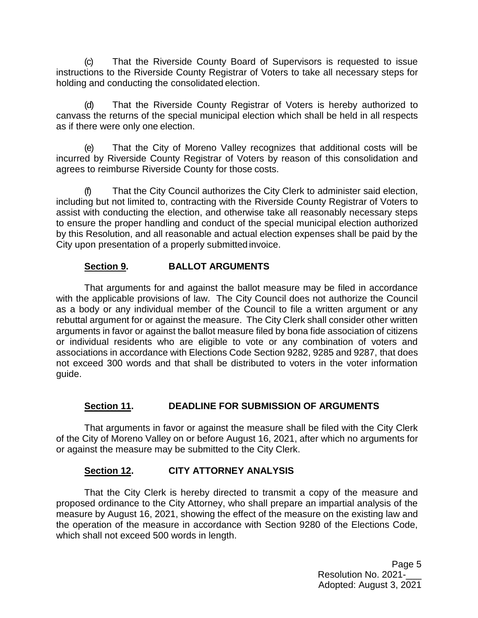(c) That the Riverside County Board of Supervisors is requested to issue instructions to the Riverside County Registrar of Voters to take all necessary steps for holding and conducting the consolidated election.

(d) That the Riverside County Registrar of Voters is hereby authorized to canvass the returns of the special municipal election which shall be held in all respects as if there were only one election.

(e) That the City of Moreno Valley recognizes that additional costs will be incurred by Riverside County Registrar of Voters by reason of this consolidation and agrees to reimburse Riverside County for those costs.

(f) That the City Council authorizes the City Clerk to administer said election, including but not limited to, contracting with the Riverside County Registrar of Voters to assist with conducting the election, and otherwise take all reasonably necessary steps to ensure the proper handling and conduct of the special municipal election authorized by this Resolution, and all reasonable and actual election expenses shall be paid by the City upon presentation of a properly submitted invoice.

## **Section 9. BALLOT ARGUMENTS**

That arguments for and against the ballot measure may be filed in accordance with the applicable provisions of law. The City Council does not authorize the Council as a body or any individual member of the Council to file a written argument or any rebuttal argument for or against the measure. The City Clerk shall consider other written arguments in favor or against the ballot measure filed by bona fide association of citizens or individual residents who are eligible to vote or any combination of voters and associations in accordance with Elections Code Section 9282, 9285 and 9287, that does not exceed 300 words and that shall be distributed to voters in the voter information guide.

#### **Section 11. DEADLINE FOR SUBMISSION OF ARGUMENTS**

That arguments in favor or against the measure shall be filed with the City Clerk of the City of Moreno Valley on or before August 16, 2021, after which no arguments for or against the measure may be submitted to the City Clerk.

#### **Section 12. CITY ATTORNEY ANALYSIS**

That the City Clerk is hereby directed to transmit a copy of the measure and proposed ordinance to the City Attorney, who shall prepare an impartial analysis of the measure by August 16, 2021, showing the effect of the measure on the existing law and the operation of the measure in accordance with Section 9280 of the Elections Code, which shall not exceed 500 words in length.

> Page 5 Resolution No. 2021-Adopted: August 3, 2021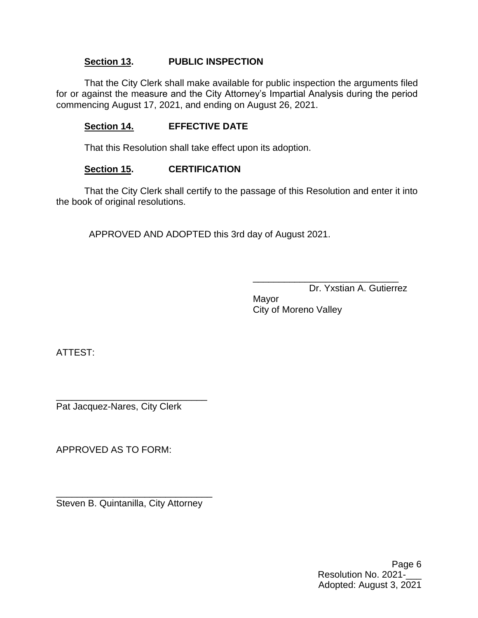## **Section 13. PUBLIC INSPECTION**

That the City Clerk shall make available for public inspection the arguments filed for or against the measure and the City Attorney's Impartial Analysis during the period commencing August 17, 2021, and ending on August 26, 2021.

## **Section 14. EFFECTIVE DATE**

That this Resolution shall take effect upon its adoption.

#### **Section 15. CERTIFICATION**

That the City Clerk shall certify to the passage of this Resolution and enter it into the book of original resolutions.

APPROVED AND ADOPTED this 3rd day of August 2021.

\_\_\_\_\_\_\_\_\_\_\_\_\_\_\_\_\_\_\_\_\_\_\_\_\_\_\_\_ Dr. Yxstian A. Gutierrez

Mayor City of Moreno Valley

ATTEST:

\_\_\_\_\_\_\_\_\_\_\_\_\_\_\_\_\_\_\_\_\_\_\_\_\_\_\_\_\_ Pat Jacquez-Nares, City Clerk

APPROVED AS TO FORM:

\_\_\_\_\_\_\_\_\_\_\_\_\_\_\_\_\_\_\_\_\_\_\_\_\_\_\_\_\_\_ Steven B. Quintanilla, City Attorney

> Page 6 Resolution No. 2021-Adopted: August 3, 2021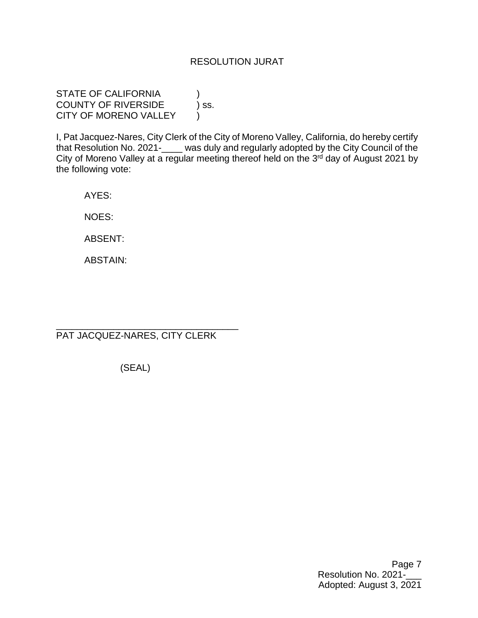### RESOLUTION JURAT

STATE OF CALIFORNIA COUNTY OF RIVERSIDE ) ss. CITY OF MORENO VALLEY

I, Pat Jacquez-Nares, City Clerk of the City of Moreno Valley, California, do hereby certify that Resolution No. 2021-\_\_\_\_ was duly and regularly adopted by the City Council of the City of Moreno Valley at a regular meeting thereof held on the 3<sup>rd</sup> day of August 2021 by the following vote:

AYES:

NOES:

ABSENT:

ABSTAIN:

PAT JACQUEZ-NARES, CITY CLERK

\_\_\_\_\_\_\_\_\_\_\_\_\_\_\_\_\_\_\_\_\_\_\_\_\_\_\_\_\_\_\_\_\_\_\_

(SEAL)

Page 7 Resolution No. 2021-\_\_\_ Adopted: August 3, 2021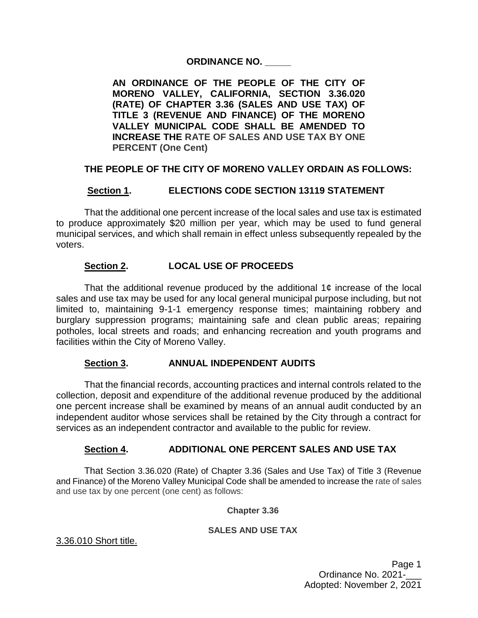### **ORDINANCE NO. \_\_\_\_\_**

**AN ORDINANCE OF THE PEOPLE OF THE CITY OF MORENO VALLEY, CALIFORNIA, SECTION 3.36.020 (RATE) OF CHAPTER 3.36 (SALES AND USE TAX) OF TITLE 3 (REVENUE AND FINANCE) OF THE MORENO VALLEY MUNICIPAL CODE SHALL BE AMENDED TO INCREASE THE RATE OF SALES AND USE TAX BY ONE PERCENT (One Cent)** 

## **THE PEOPLE OF THE CITY OF MORENO VALLEY ORDAIN AS FOLLOWS:**

## **Section 1. ELECTIONS CODE SECTION 13119 STATEMENT**

That the additional one percent increase of the local sales and use tax is estimated to produce approximately \$20 million per year, which may be used to fund general municipal services, and which shall remain in effect unless subsequently repealed by the voters.

## **Section 2. LOCAL USE OF PROCEEDS**

That the additional revenue produced by the additional 1 $\epsilon$  increase of the local sales and use tax may be used for any local general municipal purpose including, but not limited to, maintaining 9-1-1 emergency response times; maintaining robbery and burglary suppression programs; maintaining safe and clean public areas; repairing potholes, local streets and roads; and enhancing recreation and youth programs and facilities within the City of Moreno Valley.

#### **Section 3. ANNUAL INDEPENDENT AUDITS**

That the financial records, accounting practices and internal controls related to the collection, deposit and expenditure of the additional revenue produced by the additional one percent increase shall be examined by means of an annual audit conducted by an independent auditor whose services shall be retained by the City through a contract for services as an independent contractor and available to the public for review.

#### **Section 4. ADDITIONAL ONE PERCENT SALES AND USE TAX**

That Section 3.36.020 (Rate) of Chapter 3.36 (Sales and Use Tax) of Title 3 (Revenue and Finance) of the Moreno Valley Municipal Code shall be amended to increase the rate of sales and use tax by one percent (one cent) as follows:

#### **Chapter 3.36**

#### **SALES AND USE TAX**

#### [3.36.010 Short title.](http://qcode.us/codes/morenovalley/view.php?topic=3-3_36-3_36_010)

Page 1 Ordinance No. 2021-\_\_\_ Adopted: November 2, 2021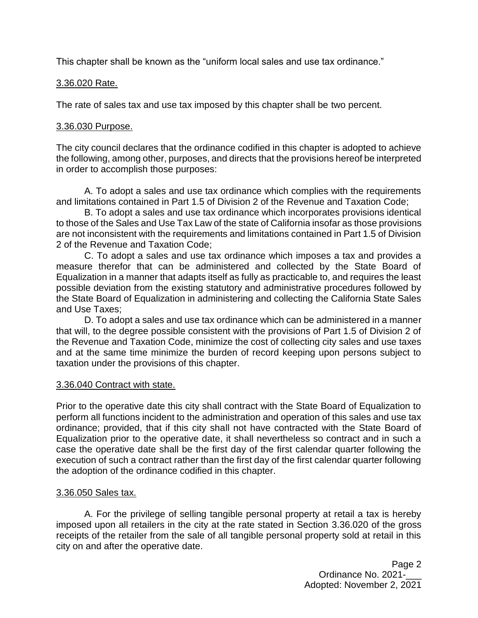This chapter shall be known as the "uniform local sales and use tax ordinance."

### [3.36.020 Rate.](http://qcode.us/codes/morenovalley/view.php?topic=3-3_36-3_36_020)

The rate of sales tax and use tax imposed by this chapter shall be two percent.

### [3.36.030 Purpose.](http://qcode.us/codes/morenovalley/view.php?topic=3-3_36-3_36_030)

The city council declares that the ordinance codified in this chapter is adopted to achieve the following, among other, purposes, and directs that the provisions hereof be interpreted in order to accomplish those purposes:

A. To adopt a sales and use tax ordinance which complies with the requirements and limitations contained in Part 1.5 of Division 2 of the [Revenue and Taxation Code;](http://qcode.us/codes/othercode.php?state=ca&code=revtax)

B. To adopt a sales and use tax ordinance which incorporates provisions identical to those of the Sales and Use Tax Law of the state of California insofar as those provisions are not inconsistent with the requirements and limitations contained in Part 1.5 of Division 2 of the [Revenue and Taxation Code;](http://qcode.us/codes/othercode.php?state=ca&code=revtax)

C. To adopt a sales and use tax ordinance which imposes a tax and provides a measure therefor that can be administered and collected by the State Board of Equalization in a manner that adapts itself as fully as practicable to, and requires the least possible deviation from the existing statutory and administrative procedures followed by the State Board of Equalization in administering and collecting the California State Sales and Use Taxes;

D. To adopt a sales and use tax ordinance which can be administered in a manner that will, to the degree possible consistent with the provisions of Part 1.5 of Division 2 of the [Revenue and Taxation Code,](http://qcode.us/codes/othercode.php?state=ca&code=revtax) minimize the cost of collecting city sales and use taxes and at the same time minimize the burden of record keeping upon persons subject to taxation under the provisions of this chapter.

#### [3.36.040 Contract with state.](http://qcode.us/codes/morenovalley/view.php?topic=3-3_36-3_36_040)

Prior to the operative date this city shall contract with the State Board of Equalization to perform all functions incident to the administration and operation of this sales and use tax ordinance; provided, that if this city shall not have contracted with the State Board of Equalization prior to the operative date, it shall nevertheless so contract and in such a case the operative date shall be the first day of the first calendar quarter following the execution of such a contract rather than the first day of the first calendar quarter following the adoption of the ordinance codified in this chapter.

#### [3.36.050 Sales tax.](http://qcode.us/codes/morenovalley/view.php?topic=3-3_36-3_36_050)

A. For the privilege of selling tangible personal property at retail a tax is hereby imposed upon all retailers in the city at the rate stated in Section [3.36.020](http://qcode.us/codes/morenovalley/view.php?cite=section_3.36.020&confidence=6) of the gross receipts of the retailer from the sale of all tangible personal property sold at retail in this city on and after the operative date.

> Page 2 Ordinance No. 2021-\_\_\_ Adopted: November 2, 2021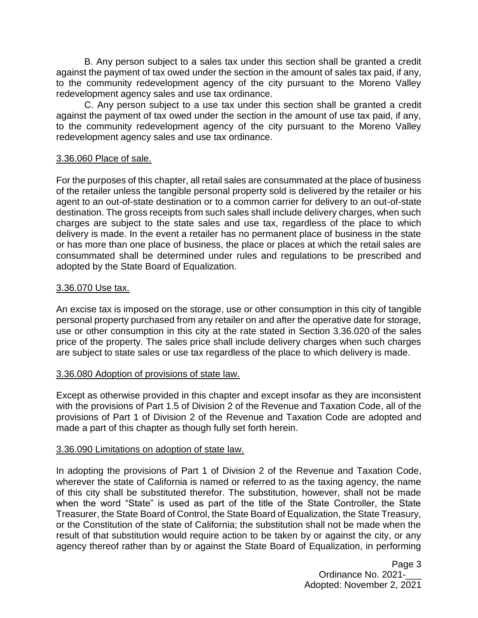B. Any person subject to a sales tax under this section shall be granted a credit against the payment of tax owed under the section in the amount of sales tax paid, if any, to the community redevelopment agency of the city pursuant to the Moreno Valley redevelopment agency sales and use tax ordinance.

C. Any person subject to a use tax under this section shall be granted a credit against the payment of tax owed under the section in the amount of use tax paid, if any, to the community redevelopment agency of the city pursuant to the Moreno Valley redevelopment agency sales and use tax ordinance.

#### [3.36.060 Place of sale.](http://qcode.us/codes/morenovalley/view.php?topic=3-3_36-3_36_060)

For the purposes of this chapter, all retail sales are consummated at the place of business of the retailer unless the tangible personal property sold is delivered by the retailer or his agent to an out-of-state destination or to a common carrier for delivery to an out-of-state destination. The gross receipts from such sales shall include delivery charges, when such charges are subject to the state sales and use tax, regardless of the place to which delivery is made. In the event a retailer has no permanent place of business in the state or has more than one place of business, the place or places at which the retail sales are consummated shall be determined under rules and regulations to be prescribed and adopted by the State Board of Equalization.

#### [3.36.070 Use tax.](http://qcode.us/codes/morenovalley/view.php?topic=3-3_36-3_36_070)

An excise tax is imposed on the storage, use or other consumption in this city of tangible personal property purchased from any retailer on and after the operative date for storage, use or other consumption in this city at the rate stated in Section [3.36.020](http://qcode.us/codes/morenovalley/view.php?cite=section_3.36.020&confidence=6) of the sales price of the property. The sales price shall include delivery charges when such charges are subject to state sales or use tax regardless of the place to which delivery is made.

#### [3.36.080 Adoption of provisions of state law.](http://qcode.us/codes/morenovalley/view.php?topic=3-3_36-3_36_080)

Except as otherwise provided in this chapter and except insofar as they are inconsistent with the provisions of Part 1.5 of Division 2 of the [Revenue and Taxation Code,](http://qcode.us/codes/othercode.php?state=ca&code=revtax) all of the provisions of Part 1 of Division 2 of the [Revenue and Taxation Code](http://qcode.us/codes/othercode.php?state=ca&code=revtax) are adopted and made a part of this chapter as though fully set forth herein.

#### [3.36.090 Limitations on adoption of state law.](http://qcode.us/codes/morenovalley/view.php?topic=3-3_36-3_36_090)

In adopting the provisions of Part 1 of Division 2 of the [Revenue and Taxation Code,](http://qcode.us/codes/othercode.php?state=ca&code=revtax) wherever the state of California is named or referred to as the taxing agency, the name of this city shall be substituted therefor. The substitution, however, shall not be made when the word "State" is used as part of the title of the State Controller, the State Treasurer, the State Board of Control, the State Board of Equalization, the State Treasury, or the Constitution of the state of California; the substitution shall not be made when the result of that substitution would require action to be taken by or against the city, or any agency thereof rather than by or against the State Board of Equalization, in performing

> Page 3 Ordinance No. 2021-\_\_\_ Adopted: November 2, 2021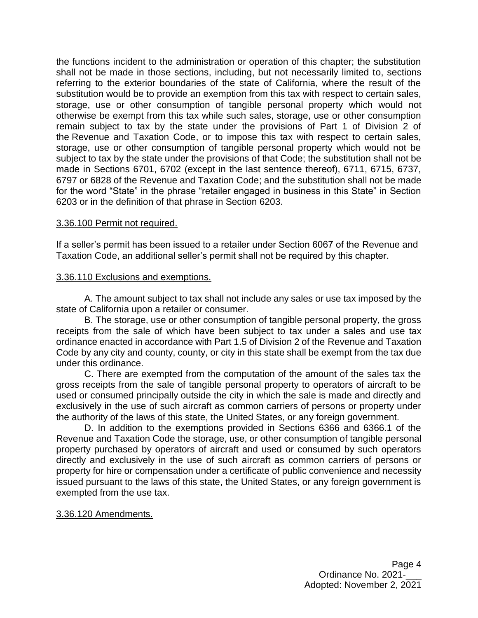the functions incident to the administration or operation of this chapter; the substitution shall not be made in those sections, including, but not necessarily limited to, sections referring to the exterior boundaries of the state of California, where the result of the substitution would be to provide an exemption from this tax with respect to certain sales, storage, use or other consumption of tangible personal property which would not otherwise be exempt from this tax while such sales, storage, use or other consumption remain subject to tax by the state under the provisions of Part 1 of Division 2 of the [Revenue and Taxation Code,](http://qcode.us/codes/othercode.php?state=ca&code=revtax) or to impose this tax with respect to certain sales, storage, use or other consumption of tangible personal property which would not be subject to tax by the state under the provisions of that Code; the substitution shall not be made in Sections 6701, 6702 (except in the last sentence thereof), 6711, 6715, 6737, 6797 or 6828 of the [Revenue and Taxation Code;](http://qcode.us/codes/othercode.php?state=ca&code=revtax) and the substitution shall not be made for the word "State" in the phrase "retailer engaged in business in this State" in Section 6203 or in the definition of that phrase in Section 6203.

#### [3.36.100 Permit not required.](http://qcode.us/codes/morenovalley/view.php?topic=3-3_36-3_36_100)

If a seller's permit has been issued to a retailer under Section 6067 of the [Revenue and](http://qcode.us/codes/othercode.php?state=ca&code=revtax)  [Taxation Code,](http://qcode.us/codes/othercode.php?state=ca&code=revtax) an additional seller's permit shall not be required by this chapter.

#### [3.36.110 Exclusions and exemptions.](http://qcode.us/codes/morenovalley/view.php?topic=3-3_36-3_36_110)

A. The amount subject to tax shall not include any sales or use tax imposed by the state of California upon a retailer or consumer.

B. The storage, use or other consumption of tangible personal property, the gross receipts from the sale of which have been subject to tax under a sales and use tax ordinance enacted in accordance with Part 1.5 of Division 2 of the [Revenue and Taxation](http://qcode.us/codes/othercode.php?state=ca&code=revtax)  [Code](http://qcode.us/codes/othercode.php?state=ca&code=revtax) by any city and county, county, or city in this state shall be exempt from the tax due under this ordinance.

C. There are exempted from the computation of the amount of the sales tax the gross receipts from the sale of tangible personal property to operators of aircraft to be used or consumed principally outside the city in which the sale is made and directly and exclusively in the use of such aircraft as common carriers of persons or property under the authority of the laws of this state, the United States, or any foreign government.

D. In addition to the exemptions provided in Sections 6366 and 6366.1 of the [Revenue and Taxation Code](http://qcode.us/codes/othercode.php?state=ca&code=revtax) the storage, use, or other consumption of tangible personal property purchased by operators of aircraft and used or consumed by such operators directly and exclusively in the use of such aircraft as common carriers of persons or property for hire or compensation under a certificate of public convenience and necessity issued pursuant to the laws of this state, the United States, or any foreign government is exempted from the use tax.

#### [3.36.120 Amendments.](http://qcode.us/codes/morenovalley/view.php?topic=3-3_36-3_36_120)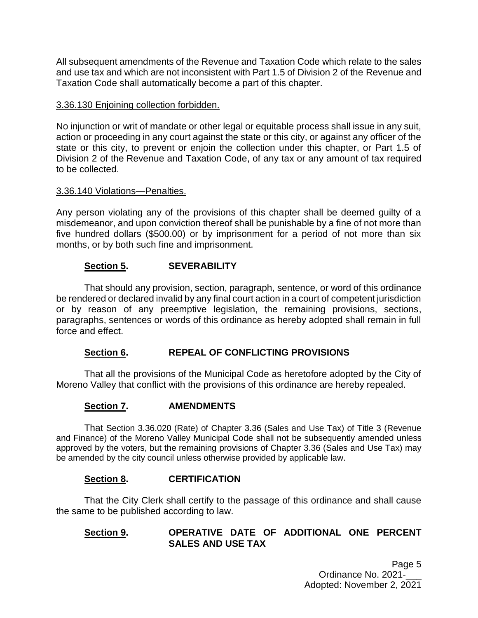All subsequent amendments of the [Revenue and Taxation Code](http://qcode.us/codes/othercode.php?state=ca&code=revtax) which relate to the sales and use tax and which are not inconsistent with Part 1.5 of Division 2 of the [Revenue and](http://qcode.us/codes/othercode.php?state=ca&code=revtax)  [Taxation Code](http://qcode.us/codes/othercode.php?state=ca&code=revtax) shall automatically become a part of this chapter.

## [3.36.130 Enjoining collection forbidden.](http://qcode.us/codes/morenovalley/view.php?topic=3-3_36-3_36_130)

No injunction or writ of mandate or other legal or equitable process shall issue in any suit, action or proceeding in any court against the state or this city, or against any officer of the state or this city, to prevent or enjoin the collection under this chapter, or Part 1.5 of Division 2 of the [Revenue and Taxation Code,](http://qcode.us/codes/othercode.php?state=ca&code=revtax) of any tax or any amount of tax required to be collected.

## [3.36.140 Violations—Penalties.](http://qcode.us/codes/morenovalley/view.php?topic=3-3_36-3_36_140)

Any person violating any of the provisions of this chapter shall be deemed guilty of a misdemeanor, and upon conviction thereof shall be punishable by a fine of not more than five hundred dollars (\$500.00) or by imprisonment for a period of not more than six months, or by both such fine and imprisonment.

## **Section 5. SEVERABILITY**

That should any provision, section, paragraph, sentence, or word of this ordinance be rendered or declared invalid by any final court action in a court of competent jurisdiction or by reason of any preemptive legislation, the remaining provisions, sections, paragraphs, sentences or words of this ordinance as hereby adopted shall remain in full force and effect.

## **Section 6. REPEAL OF CONFLICTING PROVISIONS**

That all the provisions of the Municipal Code as heretofore adopted by the City of Moreno Valley that conflict with the provisions of this ordinance are hereby repealed.

## **Section 7. AMENDMENTS**

That Section 3.36.020 (Rate) of Chapter 3.36 (Sales and Use Tax) of Title 3 (Revenue and Finance) of the Moreno Valley Municipal Code shall not be subsequently amended unless approved by the voters, but the remaining provisions of Chapter 3.36 (Sales and Use Tax) may be amended by the city council unless otherwise provided by applicable law.

## **Section 8. CERTIFICATION**

That the City Clerk shall certify to the passage of this ordinance and shall cause the same to be published according to law.

## **Section 9. OPERATIVE DATE OF ADDITIONAL ONE PERCENT SALES AND USE TAX**

Page 5 Ordinance No. 2021-\_\_\_ Adopted: November 2, 2021